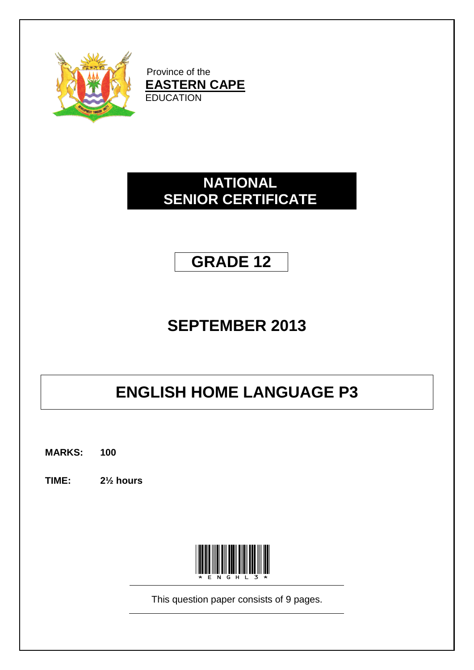

Province of the **EASTERN CAPE EDUCATION** 

# **NATIONAL SENIOR CERTIFICATE**

# **GRADE 12**

# **SEPTEMBER 2013**

# **ENGLISH HOME LANGUAGE P3**

**MARKS: 100**

**TIME: 2½ hours**



This question paper consists of 9 pages.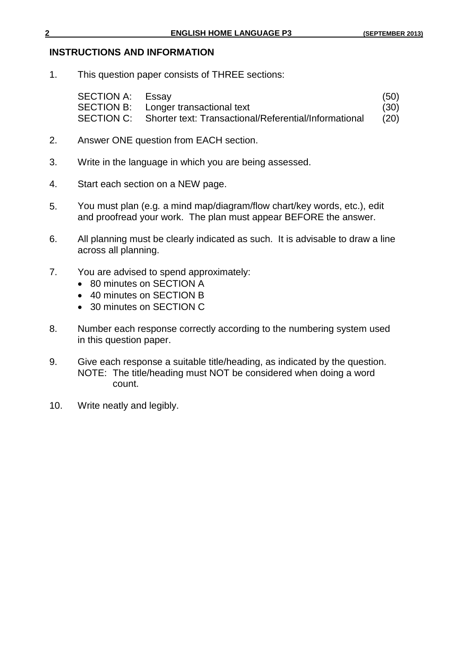#### **INSTRUCTIONS AND INFORMATION**

1. This question paper consists of THREE sections:

| <b>SECTION A: Essay</b> |                                                                  | (50) |
|-------------------------|------------------------------------------------------------------|------|
|                         | SECTION B: Longer transactional text                             | (30) |
|                         | SECTION C: Shorter text: Transactional/Referential/Informational | (20) |

- 2. Answer ONE question from EACH section.
- 3. Write in the language in which you are being assessed.
- 4. Start each section on a NEW page.
- 5. You must plan (e.g*.* a mind map/diagram/flow chart/key words, etc.), edit and proofread your work. The plan must appear BEFORE the answer.
- 6. All planning must be clearly indicated as such. It is advisable to draw a line across all planning.
- 7. You are advised to spend approximately:
	- 80 minutes on SECTION A
	- 40 minutes on SECTION B
	- 30 minutes on SECTION C
- 8. Number each response correctly according to the numbering system used in this question paper.
- 9. Give each response a suitable title/heading, as indicated by the question. NOTE: The title/heading must NOT be considered when doing a word count.
- 10. Write neatly and legibly.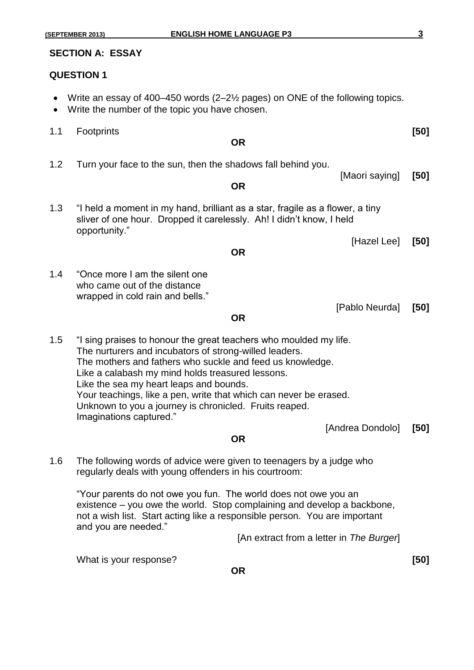#### **QUESTION 1**

- Write an essay of 400–450 words (2–2½ pages) on ONE of the following topics.
- Write the number of the topic you have chosen.
- 1.1 Footprints **[50]**

#### **OR**

- 1.2 Turn your face to the sun, then the shadows fall behind you.
	- **OR**
- 1.3 "I held a moment in my hand, brilliant as a star, fragile as a flower, a tiny sliver of one hour. Dropped it carelessly. Ah! I didn't know, I held opportunity."
	- [Hazel Lee] **[50]**

[Pablo Neurda] **[50]**

#### **OR**

1.4 "Once more I am the silent one who came out of the distance wrapped in cold rain and bells."

#### **OR**

1.5 "I sing praises to honour the great teachers who moulded my life. The nurturers and incubators of strong-willed leaders. The mothers and fathers who suckle and feed us knowledge. Like a calabash my mind holds treasured lessons. Like the sea my heart leaps and bounds. Your teachings, like a pen, write that which can never be erased. Unknown to you a journey is chronicled. Fruits reaped. Imaginations captured." [Andrea Dondolo] **[50]**

#### **OR**

1.6 The following words of advice were given to teenagers by a judge who regularly deals with young offenders in his courtroom:

"Your parents do not owe you fun. The world does not owe you an existence – you owe the world. Stop complaining and develop a backbone, not a wish list. Start acting like a responsible person. You are important and you are needed."

[An extract from a letter in *The Burger*]

What is your response? **[50]**

[Maori saying] **[50]**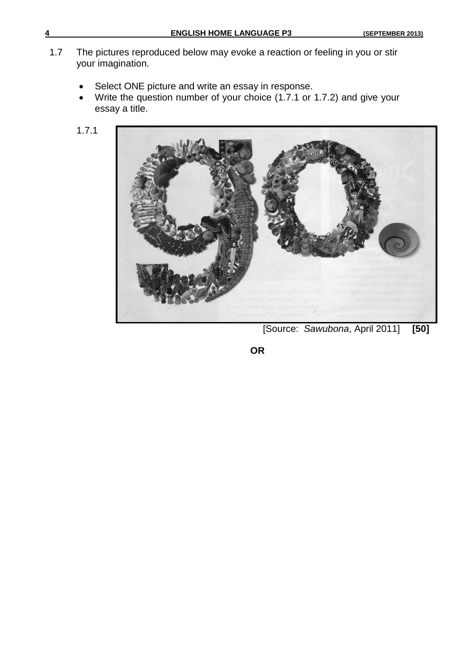- 1.7 The pictures reproduced below may evoke a reaction or feeling in you or stir your imagination.
	- Select ONE picture and write an essay in response.
	- Write the question number of your choice (1.7.1 or 1.7.2) and give your essay a title.
	- 1.7.1



[Source: *Sawubona*, April 2011] **[50]**

**OR**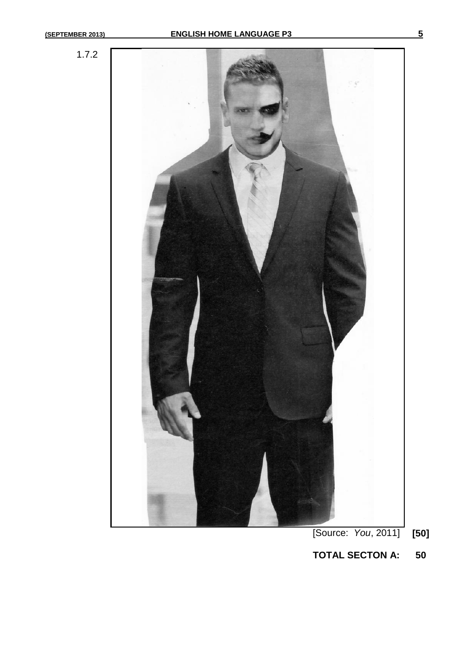

**TOTAL SECTON A: 50**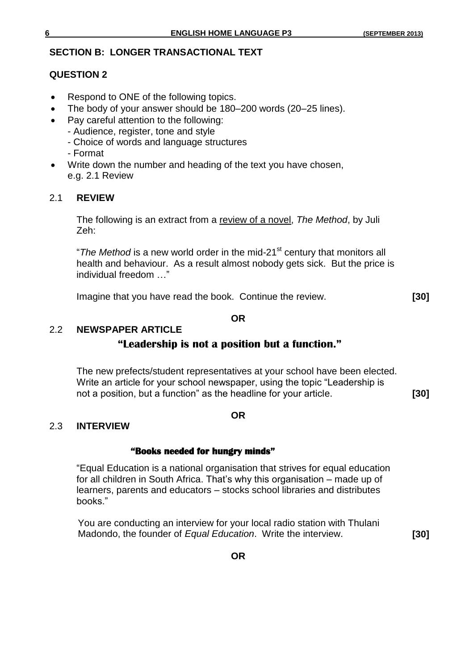# **SECTION B: LONGER TRANSACTIONAL TEXT**

# **QUESTION 2**

- Respond to ONE of the following topics.
- The body of your answer should be 180–200 words (20–25 lines).
- Pay careful attention to the following:
	- Audience, register, tone and style
		- Choice of words and language structures
	- Format
- Write down the number and heading of the text you have chosen, e.g. 2.1 Review

# 2.1 **REVIEW**

The following is an extract from a review of a novel, *The Method*, by Juli Zeh:

"The Method is a new world order in the mid-21<sup>st</sup> century that monitors all health and behaviour. As a result almost nobody gets sick. But the price is individual freedom …"

Imagine that you have read the book. Continue the review. **[30]**

#### **OR**

#### 2.2 **NEWSPAPER ARTICLE**

# **"Leadership is not a position but a function."**

The new prefects/student representatives at your school have been elected. Write an article for your school newspaper, using the topic "Leadership is not a position, but a function" as the headline for your article. **[30]**

#### **OR**

## 2.3 **INTERVIEW**

## **"Books needed for hungry minds"**

"Equal Education is a national organisation that strives for equal education for all children in South Africa. That's why this organisation – made up of learners, parents and educators – stocks school libraries and distributes books."

You are conducting an interview for your local radio station with Thulani Madondo, the founder of *Equal Education*. Write the interview. **[30]**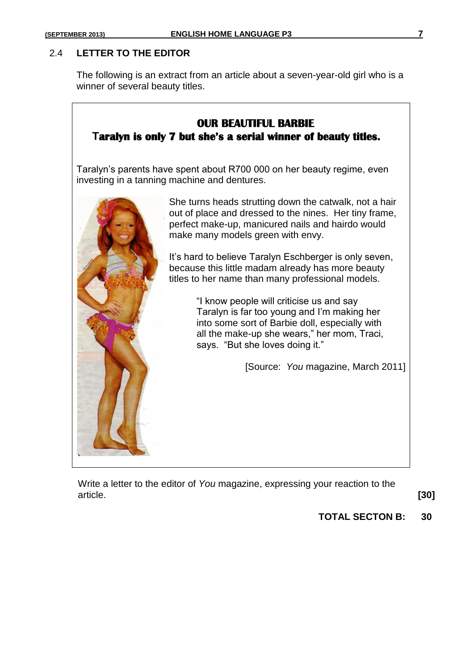#### 2.4 **LETTER TO THE EDITOR**

The following is an extract from an article about a seven-year-old girl who is a winner of several beauty titles.

# **OUR BEAUTIFUL BARBIE Taralyn is only 7 but she's a serial winner of beauty titles.**

Taralyn's parents have spent about R700 000 on her beauty regime, even investing in a tanning machine and dentures.



She turns heads strutting down the catwalk, not a hair out of place and dressed to the nines. Her tiny frame, perfect make-up, manicured nails and hairdo would make many models green with envy.

It's hard to believe Taralyn Eschberger is only seven, because this little madam already has more beauty titles to her name than many professional models.

> "I know people will criticise us and say Taralyn is far too young and I'm making her into some sort of Barbie doll, especially with all the make-up she wears," her mom, Traci, says. "But she loves doing it."

> > [Source: *You* magazine, March 2011]

Write a letter to the editor of *You* magazine, expressing your reaction to the article. **[30]**

**TOTAL SECTON B: 30**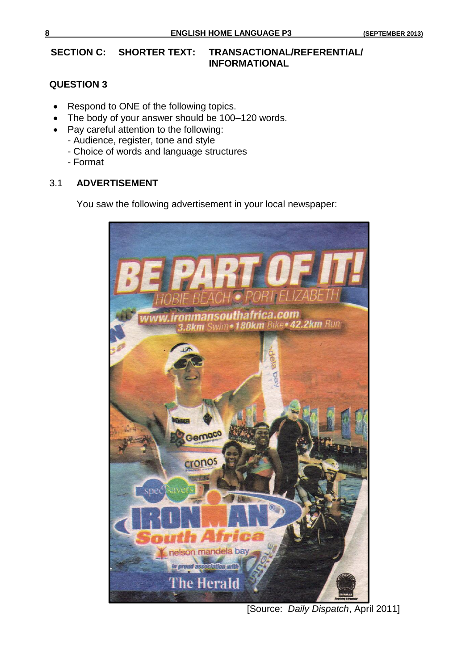# **SECTION C: SHORTER TEXT: TRANSACTIONAL/REFERENTIAL/ INFORMATIONAL**

# **QUESTION 3**

- Respond to ONE of the following topics.
- The body of your answer should be 100–120 words.
- Pay careful attention to the following:
	- Audience, register, tone and style
	- Choice of words and language structures
	- Format

## 3.1 **ADVERTISEMENT**

You saw the following advertisement in your local newspaper:



[Source: *Daily Dispatch*, April 2011]